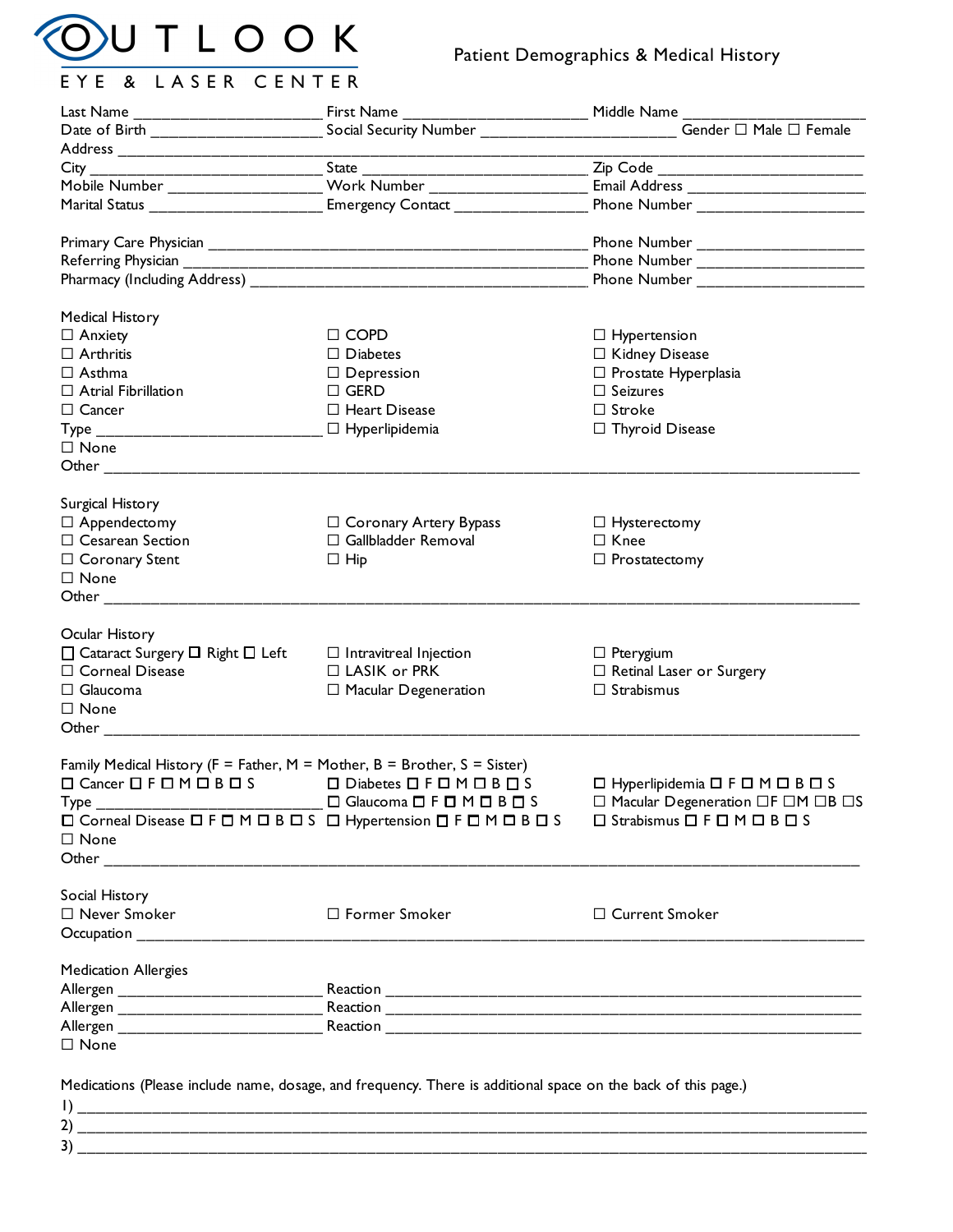

## Patient Demographics & Medical History

| Mobile Number ____________________ Work Number ___________________<br>Marital Status _________________________ Emergency Contact _____________________ | Social Security Number ______________________ Gender □ Male □ Female<br>Zip Code _________________________________                                                                                                                                                                                                                                                                                                                                                                                                               |
|--------------------------------------------------------------------------------------------------------------------------------------------------------|----------------------------------------------------------------------------------------------------------------------------------------------------------------------------------------------------------------------------------------------------------------------------------------------------------------------------------------------------------------------------------------------------------------------------------------------------------------------------------------------------------------------------------|
|                                                                                                                                                        |                                                                                                                                                                                                                                                                                                                                                                                                                                                                                                                                  |
|                                                                                                                                                        |                                                                                                                                                                                                                                                                                                                                                                                                                                                                                                                                  |
|                                                                                                                                                        |                                                                                                                                                                                                                                                                                                                                                                                                                                                                                                                                  |
|                                                                                                                                                        |                                                                                                                                                                                                                                                                                                                                                                                                                                                                                                                                  |
|                                                                                                                                                        |                                                                                                                                                                                                                                                                                                                                                                                                                                                                                                                                  |
|                                                                                                                                                        |                                                                                                                                                                                                                                                                                                                                                                                                                                                                                                                                  |
|                                                                                                                                                        | Phone Number _______________________                                                                                                                                                                                                                                                                                                                                                                                                                                                                                             |
|                                                                                                                                                        |                                                                                                                                                                                                                                                                                                                                                                                                                                                                                                                                  |
|                                                                                                                                                        | Phone Number ______________________                                                                                                                                                                                                                                                                                                                                                                                                                                                                                              |
|                                                                                                                                                        |                                                                                                                                                                                                                                                                                                                                                                                                                                                                                                                                  |
|                                                                                                                                                        |                                                                                                                                                                                                                                                                                                                                                                                                                                                                                                                                  |
| $\Box$ COPD                                                                                                                                            | $\Box$ Hypertension                                                                                                                                                                                                                                                                                                                                                                                                                                                                                                              |
| $\Box$ Diabetes                                                                                                                                        | □ Kidney Disease                                                                                                                                                                                                                                                                                                                                                                                                                                                                                                                 |
|                                                                                                                                                        | $\Box$ Prostate Hyperplasia                                                                                                                                                                                                                                                                                                                                                                                                                                                                                                      |
|                                                                                                                                                        | $\Box$ Seizures                                                                                                                                                                                                                                                                                                                                                                                                                                                                                                                  |
|                                                                                                                                                        | $\Box$ Stroke                                                                                                                                                                                                                                                                                                                                                                                                                                                                                                                    |
|                                                                                                                                                        | □ Thyroid Disease                                                                                                                                                                                                                                                                                                                                                                                                                                                                                                                |
|                                                                                                                                                        |                                                                                                                                                                                                                                                                                                                                                                                                                                                                                                                                  |
|                                                                                                                                                        |                                                                                                                                                                                                                                                                                                                                                                                                                                                                                                                                  |
|                                                                                                                                                        |                                                                                                                                                                                                                                                                                                                                                                                                                                                                                                                                  |
|                                                                                                                                                        |                                                                                                                                                                                                                                                                                                                                                                                                                                                                                                                                  |
|                                                                                                                                                        | $\Box$ Hysterectomy                                                                                                                                                                                                                                                                                                                                                                                                                                                                                                              |
|                                                                                                                                                        | $\Box$ Knee                                                                                                                                                                                                                                                                                                                                                                                                                                                                                                                      |
|                                                                                                                                                        |                                                                                                                                                                                                                                                                                                                                                                                                                                                                                                                                  |
|                                                                                                                                                        | $\Box$ Prostatectomy                                                                                                                                                                                                                                                                                                                                                                                                                                                                                                             |
|                                                                                                                                                        |                                                                                                                                                                                                                                                                                                                                                                                                                                                                                                                                  |
|                                                                                                                                                        |                                                                                                                                                                                                                                                                                                                                                                                                                                                                                                                                  |
|                                                                                                                                                        |                                                                                                                                                                                                                                                                                                                                                                                                                                                                                                                                  |
|                                                                                                                                                        | $\Box$ Pterygium                                                                                                                                                                                                                                                                                                                                                                                                                                                                                                                 |
|                                                                                                                                                        |                                                                                                                                                                                                                                                                                                                                                                                                                                                                                                                                  |
|                                                                                                                                                        | $\Box$ Retinal Laser or Surgery                                                                                                                                                                                                                                                                                                                                                                                                                                                                                                  |
|                                                                                                                                                        | $\Box$ Strabismus                                                                                                                                                                                                                                                                                                                                                                                                                                                                                                                |
|                                                                                                                                                        |                                                                                                                                                                                                                                                                                                                                                                                                                                                                                                                                  |
|                                                                                                                                                        |                                                                                                                                                                                                                                                                                                                                                                                                                                                                                                                                  |
|                                                                                                                                                        |                                                                                                                                                                                                                                                                                                                                                                                                                                                                                                                                  |
|                                                                                                                                                        |                                                                                                                                                                                                                                                                                                                                                                                                                                                                                                                                  |
|                                                                                                                                                        | ロ Hyperlipidemia ロ F ロ M ロ B ロ S                                                                                                                                                                                                                                                                                                                                                                                                                                                                                                 |
|                                                                                                                                                        | $\Box$ Macular Degeneration $\Box F \Box M \Box B \Box S$                                                                                                                                                                                                                                                                                                                                                                                                                                                                        |
|                                                                                                                                                        | $\Box$ Strabismus $\Box$ F $\Box$ M $\Box$ B $\Box$ S                                                                                                                                                                                                                                                                                                                                                                                                                                                                            |
|                                                                                                                                                        |                                                                                                                                                                                                                                                                                                                                                                                                                                                                                                                                  |
|                                                                                                                                                        |                                                                                                                                                                                                                                                                                                                                                                                                                                                                                                                                  |
|                                                                                                                                                        |                                                                                                                                                                                                                                                                                                                                                                                                                                                                                                                                  |
|                                                                                                                                                        |                                                                                                                                                                                                                                                                                                                                                                                                                                                                                                                                  |
|                                                                                                                                                        | □ Current Smoker                                                                                                                                                                                                                                                                                                                                                                                                                                                                                                                 |
|                                                                                                                                                        |                                                                                                                                                                                                                                                                                                                                                                                                                                                                                                                                  |
|                                                                                                                                                        |                                                                                                                                                                                                                                                                                                                                                                                                                                                                                                                                  |
|                                                                                                                                                        |                                                                                                                                                                                                                                                                                                                                                                                                                                                                                                                                  |
|                                                                                                                                                        |                                                                                                                                                                                                                                                                                                                                                                                                                                                                                                                                  |
|                                                                                                                                                        |                                                                                                                                                                                                                                                                                                                                                                                                                                                                                                                                  |
|                                                                                                                                                        |                                                                                                                                                                                                                                                                                                                                                                                                                                                                                                                                  |
|                                                                                                                                                        |                                                                                                                                                                                                                                                                                                                                                                                                                                                                                                                                  |
|                                                                                                                                                        | $\Box$ Depression<br>$\Box$ GERD<br>$\Box$ Heart Disease<br>$\Box$ Hyperlipidemia<br>□ Coronary Artery Bypass<br>$\Box$ Gallbladder Removal<br>$\Box$ Hip<br>$\Box$ Intravitreal Injection<br>$\Box$ LASIK or PRK<br>$\Box$ Macular Degeneration<br>Family Medical History ( $F =$ Father, $M =$ Mother, $B =$ Brother, $S =$ Sister)<br>O Cancer OF OM OBOS O Diabetes OF OM OBOS<br>$\Box$ Glaucoma $\Box$ F $\Box$ M $\Box$ B $\Box$ S<br>□ Corneal Disease □ F □ M □ B □ S □ Hypertension □ F □ M □ B □ S<br>□ Former Smoker |

| 2) |    |
|----|----|
| 3) | -- |